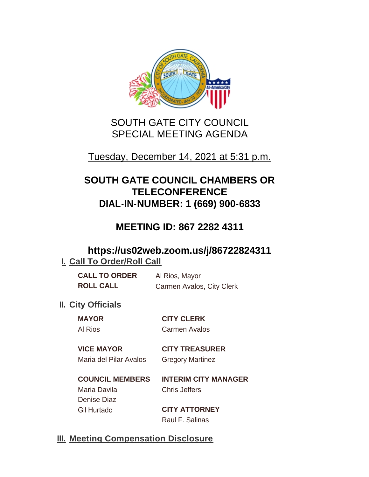

# SOUTH GATE CITY COUNCIL SPECIAL MEETING AGENDA

## Tuesday, December 14, 2021 at 5:31 p.m.

# **SOUTH GATE COUNCIL CHAMBERS OR TELECONFERENCE DIAL-IN-NUMBER: 1 (669) 900-6833**

## **MEETING ID: 867 2282 4311**

## **https://us02web.zoom.us/j/86722824311 I. Call To Order/Roll Call**

| <b>CALL TO ORDER</b> | Al Rios, Mayor            |
|----------------------|---------------------------|
| <b>ROLL CALL</b>     | Carmen Avalos, City Clerk |

## **II.** City Officials

**MAYOR CITY CLERK** Al Rios Carmen Avalos

#### **VICE MAYOR CITY TREASURER** Maria del Pilar Avalos Gregory Martinez

**COUNCIL MEMBERS INTERIM CITY MANAGER** Maria Davila Chris Jeffers Denise Diaz Gil Hurtado **CITY ATTORNEY**

Raul F. Salinas

## **Meeting Compensation Disclosure III.**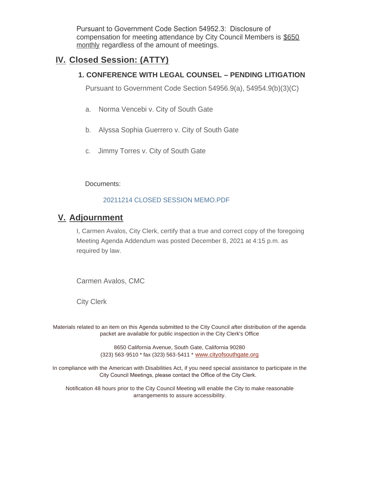Pursuant to Government Code Section 54952.3: Disclosure of compensation for meeting attendance by City Council Members is \$650 monthly regardless of the amount of meetings.

### **Closed Session: (ATTY) IV.**

#### **1. CONFERENCE WITH LEGAL COUNSEL – PENDING LITIGATION**

Pursuant to Government Code Section 54956.9(a), 54954.9(b)(3)(C)

- a. Norma Vencebi v. City of South Gate
- b. Alyssa Sophia Guerrero v. City of South Gate
- c. Jimmy Torres v. City of South Gate

Documents:

#### 20211214 CLOSED SESSION MEMO.PDF

### **Adjournment V.**

I, Carmen Avalos, City Clerk, certify that a true and correct copy of the foregoing Meeting Agenda Addendum was posted December 8, 2021 at 4:15 p.m. as required by law.

Carmen Avalos, CMC

City Clerk

Materials related to an item on this Agenda submitted to the City Council after distribution of the agenda packet are available for public inspection in the City Clerk's Office

> 8650 California Avenue, South Gate, California 90280 (323) 563-9510 \* fax (323) 563-5411 \* [www.cityofsouthgate.org](http://www.cityofsouthgate.org/)

In compliance with the American with Disabilities Act, if you need special assistance to participate in the City Council Meetings, please contact the Office of the City Clerk.

Notification 48 hours prior to the City Council Meeting will enable the City to make reasonable arrangements to assure accessibility.